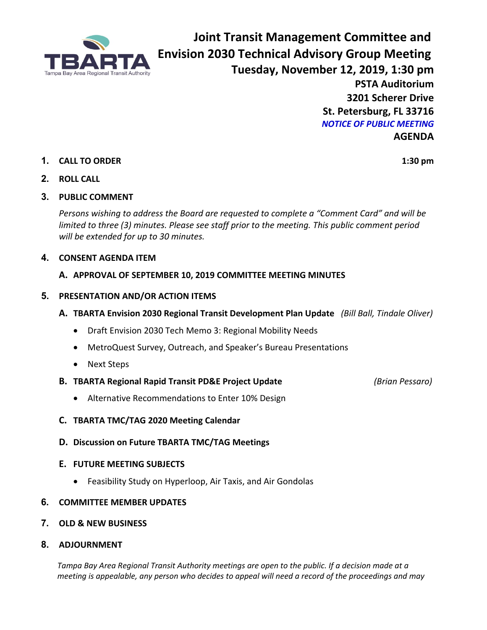

**Joint Transit Management Committee and Envision 2030 Technical Advisory Group Meeting Tuesday, November 12, 2019, 1:30 pm PSTA Auditorium 3201 Scherer Drive St. Petersburg, FL 33716** *NOTICE OF PUBLIC MEETING* **AGENDA**

## **1. CALL TO ORDER 1:30 pm**

## **2. ROLL CALL**

## **3. PUBLIC COMMENT**

*Persons wishing to address the Board are requested to complete a "Comment Card" and will be limited to three (3) minutes. Please see staff prior to the meeting. This public comment period will be extended for up to 30 minutes.*

## **4. CONSENT AGENDA ITEM**

#### **A. APPROVAL OF SEPTEMBER 10, 2019 COMMITTEE MEETING MINUTES**

#### **5. PRESENTATION AND/OR ACTION ITEMS**

- **A. TBARTA Envision 2030 Regional Transit Development Plan Update** *(Bill Ball, Tindale Oliver)*
	- Draft Envision 2030 Tech Memo 3: Regional Mobility Needs
	- MetroQuest Survey, Outreach, and Speaker's Bureau Presentations
	- Next Steps
- **B. TBARTA Regional Rapid Transit PD&E Project Update** *(Brian Pessaro)*

- Alternative Recommendations to Enter 10% Design
- **C. TBARTA TMC/TAG 2020 Meeting Calendar**
- **D. Discussion on Future TBARTA TMC/TAG Meetings**

#### **E. FUTURE MEETING SUBJECTS**

• Feasibility Study on Hyperloop, Air Taxis, and Air Gondolas

#### **6. COMMITTEE MEMBER UPDATES**

- **7. OLD & NEW BUSINESS**
- **8. ADJOURNMENT**

*Tampa Bay Area Regional Transit Authority meetings are open to the public. If a decision made at a meeting is appealable, any person who decides to appeal will need a record of the proceedings and may*